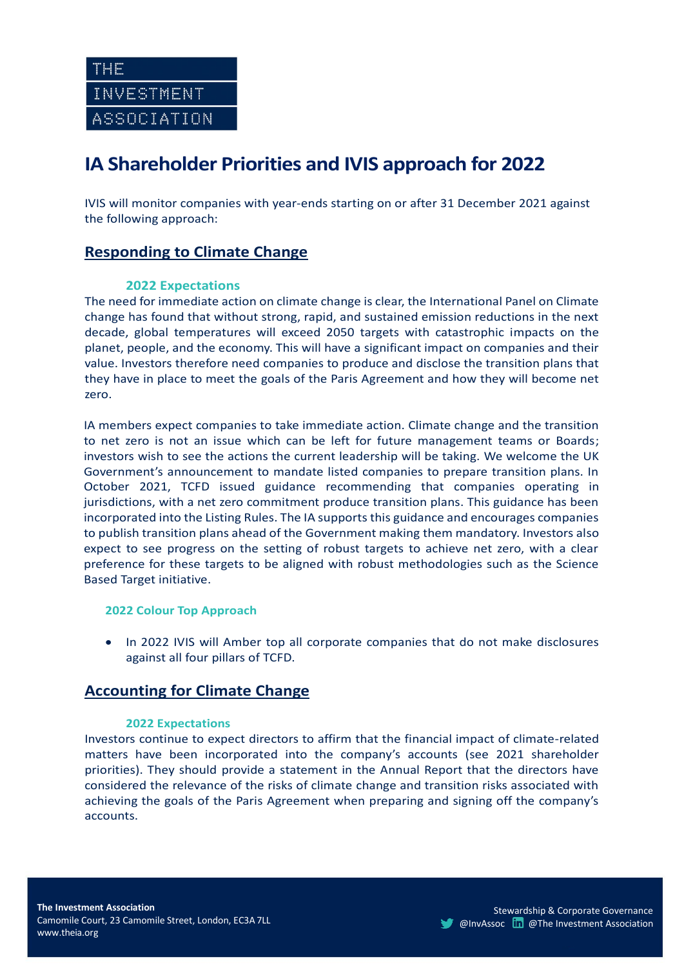# **IA Shareholder Priorities and IVIS approach for 2022**

IVIS will monitor companies with year-ends starting on or after 31 December 2021 against the following approach:

# **Responding to Climate Change**

#### **2022 Expectations**

The need for immediate action on climate change is clear, the International Panel on Climate change has found that without strong, rapid, and sustained emission reductions in the next decade, global temperatures will exceed 2050 targets with catastrophic impacts on the planet, people, and the economy. This will have a significant impact on companies and their value. Investors therefore need companies to produce and disclose the transition plans that they have in place to meet the goals of the Paris Agreement and how they will become net zero.

IA members expect companies to take immediate action. Climate change and the transition to net zero is not an issue which can be left for future management teams or Boards; investors wish to see the actions the current leadership will be taking. We welcome the UK Government's announcement to mandate listed companies to prepare transition plans. In October 2021, TCFD issued guidance recommending that companies operating in jurisdictions, with a net zero commitment produce transition plans. This guidance has been incorporated into the Listing Rules. The IA supports this guidance and encourages companies to publish transition plans ahead of the Government making them mandatory. Investors also expect to see progress on the setting of robust targets to achieve net zero, with a clear preference for these targets to be aligned with robust methodologies such as the Science Based Target initiative.

#### **2022 Colour Top Approach**

• In 2022 IVIS will Amber top all corporate companies that do not make disclosures against all four pillars of TCFD.

### **Accounting for Climate Change**

#### **2022 Expectations**

Investors continue to expect directors to affirm that the financial impact of climate-related matters have been incorporated into the company's accounts (see 2021 shareholder priorities). They should provide a statement in the Annual Report that the directors have considered the relevance of the risks of climate change and transition risks associated with achieving the goals of the Paris Agreement when preparing and signing off the company's accounts.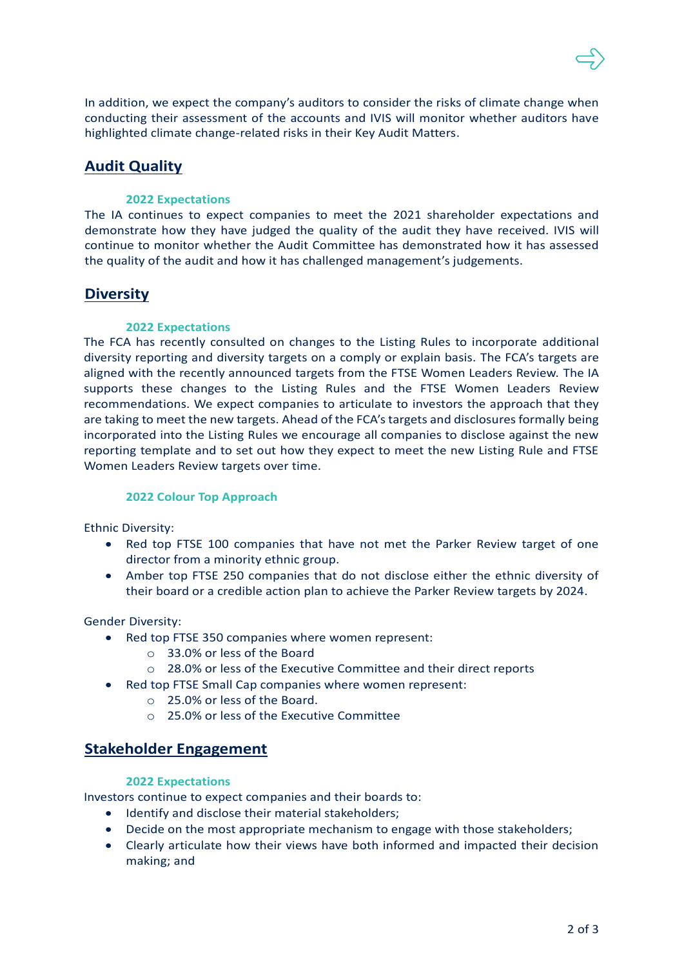

In addition, we expect the company's auditors to consider the risks of climate change when conducting their assessment of the accounts and IVIS will monitor whether auditors have highlighted climate change-related risks in their Key Audit Matters.

## **Audit Quality**

#### **2022 Expectations**

The IA continues to expect companies to meet the 2021 shareholder expectations and demonstrate how they have judged the quality of the audit they have received. IVIS will continue to monitor whether the Audit Committee has demonstrated how it has assessed the quality of the audit and how it has challenged management's judgements.

### **Diversity**

#### **2022 Expectations**

The FCA has recently consulted on changes to the Listing Rules to incorporate additional diversity reporting and diversity targets on a comply or explain basis. The FCA's targets are aligned with the recently announced targets from the FTSE Women Leaders Review. The IA supports these changes to the Listing Rules and the FTSE Women Leaders Review recommendations. We expect companies to articulate to investors the approach that they are taking to meet the new targets. Ahead of the FCA's targets and disclosures formally being incorporated into the Listing Rules we encourage all companies to disclose against the new reporting template and to set out how they expect to meet the new Listing Rule and FTSE Women Leaders Review targets over time.

#### **2022 Colour Top Approach**

Ethnic Diversity:

- Red top FTSE 100 companies that have not met the Parker Review target of one director from a minority ethnic group.
- Amber top FTSE 250 companies that do not disclose either the ethnic diversity of their board or a credible action plan to achieve the Parker Review targets by 2024.

Gender Diversity:

- Red top FTSE 350 companies where women represent:
	- o 33.0% or less of the Board
	- o 28.0% or less of the Executive Committee and their direct reports
- Red top FTSE Small Cap companies where women represent:
	- o 25.0% or less of the Board.
		- o 25.0% or less of the Executive Committee

### **Stakeholder Engagement**

#### **2022 Expectations**

Investors continue to expect companies and their boards to:

- Identify and disclose their material stakeholders;
- Decide on the most appropriate mechanism to engage with those stakeholders;
- Clearly articulate how their views have both informed and impacted their decision making; and